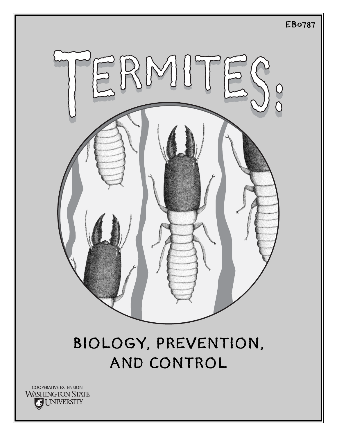

# BIOLOGY, PREVENTION, AND CONTROL

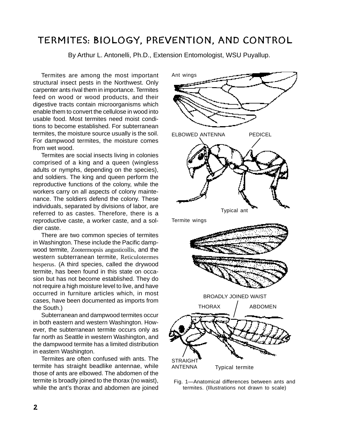# TERMITES: BIOLOGY, PREVENTION, AND CONTROL

By Arthur L. Antonelli, Ph.D., Extension Entomologist, WSU Puyallup.

Termites are among the most important structural insect pests in the Northwest. Only carpenter ants rival them in importance. Termites feed on wood or wood products, and their digestive tracts contain microorganisms which enable them to convert the cellulose in wood into usable food. Most termites need moist conditions to become established. For subterranean termites, the moisture source usually is the soil. For dampwood termites, the moisture comes from wet wood.

Termites are social insects living in colonies comprised of a king and a queen (wingless adults or nymphs, depending on the species), and soldiers. The king and queen perform the reproductive functions of the colony, while the workers carry on all aspects of colony maintenance. The soldiers defend the colony. These individuals, separated by divisions of labor, are referred to as castes. Therefore, there is a reproductive caste, a worker caste, and a soldier caste.

There are two common species of termites in Washington. These include the Pacific dampwood termite, Zootermopsis angusticollis, and the western subterranean termite, Reticulotermes hesperus. (A third species, called the drywood termite, has been found in this state on occasion but has not become established. They do not require a high moisture level to live, and have occurred in furniture articles which, in most cases, have been documented as imports from the South.)

Subterranean and dampwood termites occur in both eastern and western Washington. However, the subterranean termite occurs only as far north as Seattle in western Washington, and the dampwood termite has a limited distribution in eastern Washington.

Termites are often confused with ants. The termite has straight beadlike antennae, while those of ants are elbowed. The abdomen of the termite is broadly joined to the thorax (no waist), while the ant's thorax and abdomen are joined



Fig. 1—Anatomical differences between ants and termites. (Illustrations not drawn to scale)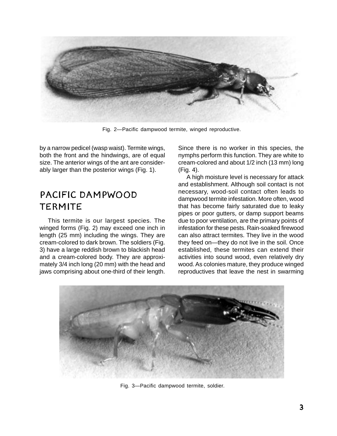

Fig. 2—Pacific dampwood termite, winged reproductive.

by a narrow pedicel (wasp waist). Termite wings, both the front and the hindwings, are of equal size. The anterior wings of the ant are considerably larger than the posterior wings (Fig. 1).

### PACIFIC DAMPWOOD TERMITE

This termite is our largest species. The winged forms (Fig. 2) may exceed one inch in length (25 mm) including the wings. They are cream-colored to dark brown. The soldiers (Fig. 3) have a large reddish brown to blackish head and a cream-colored body. They are approximately 3/4 inch long (20 mm) with the head and jaws comprising about one-third of their length. Since there is no worker in this species, the nymphs perform this function. They are white to cream-colored and about 1/2 inch (13 mm) long (Fig. 4).

A high moisture level is necessary for attack and establishment. Although soil contact is not necessary, wood-soil contact often leads to dampwood termite infestation. More often, wood that has become fairly saturated due to leaky pipes or poor gutters, or damp support beams due to poor ventilation, are the primary points of infestation for these pests. Rain-soaked firewood can also attract termites. They live in the wood they feed on—they do not live in the soil. Once established, these termites can extend their activities into sound wood, even relatively dry wood. As colonies mature, they produce winged reproductives that leave the nest in swarming



Fig. 3—Pacific dampwood termite, soldier.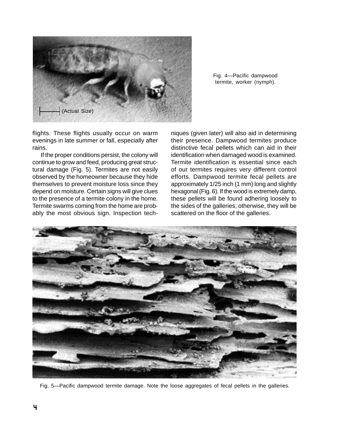

Fig. 4—Pacific dampwood termite, worker (nymph).

flights. These flights usually occur on warm evenings in late summer or fall, especially after rains.

If the proper conditions persist, the colony will continue to grow and feed, producing great structural damage (Fig. 5). Termites are not easily observed by the homeowner because they hide themselves to prevent moisture loss since they depend on moisture. Certain signs will give clues to the presence of a termite colony in the home. Termite swarms coming from the home are probably the most obvious sign. Inspection techniques (given later) will also aid in determining their presence. Dampwood termites produce distinctive fecal pellets which can aid in their identification when damaged wood is examined. Termite identification is essential since each of our termites requires very different control efforts. Dampwood termite fecal pellets are approximately 1/25 inch (1 mm) long and slightly hexagonal (Fig. 6). If the wood is extremely damp, these pellets will be found adhering loosely to the sides of the galleries; otherwise, they will be scattered on the floor of the galleries.



Fig. 5—Pacific dampwood termite damage. Note the loose aggregates of fecal pellets in the galleries.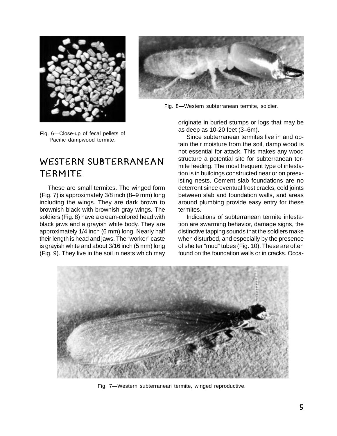



Fig. 8—Western subterranean termite, soldier.

Fig. 6—Close-up of fecal pellets of Pacific dampwood termite.

### WESTERN SUBTERRANEAN TERMITE

These are small termites. The winged form (Fig. 7) is approximately 3/8 inch (8–9 mm) long including the wings. They are dark brown to brownish black with brownish gray wings. The soldiers (Fig. 8) have a cream-colored head with black jaws and a grayish white body. They are approximately 1/4 inch (6 mm) long. Nearly half their length is head and jaws. The "worker" caste is grayish white and about 3/16 inch (5 mm) long (Fig. 9). They live in the soil in nests which may

originate in buried stumps or logs that may be as deep as 10-20 feet (3–6m).

Since subterranean termites live in and obtain their moisture from the soil, damp wood is not essential for attack. This makes any wood structure a potential site for subterranean termite feeding. The most frequent type of infestation is in buildings constructed near or on preexisting nests. Cement slab foundations are no deterrent since eventual frost cracks, cold joints between slab and foundation walls, and areas around plumbing provide easy entry for these termites.

Indications of subterranean termite infestation are swarming behavior, damage signs, the distinctive tapping sounds that the soldiers make when disturbed, and especially by the presence of shelter "mud" tubes (Fig. 10). These are often found on the foundation walls or in cracks. Occa-



Fig. 7—Western subterranean termite, winged reproductive.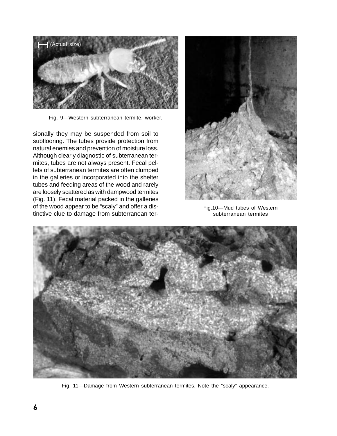

Fig. 9—Western subterranean termite, worker.

sionally they may be suspended from soil to subflooring. The tubes provide protection from natural enemies and prevention of moisture loss. Although clearly diagnostic of subterranean termites, tubes are not always present. Fecal pellets of subterranean termites are often clumped in the galleries or incorporated into the shelter tubes and feeding areas of the wood and rarely are loosely scattered as with dampwood termites (Fig. 11). Fecal material packed in the galleries of the wood appear to be "scaly" and offer a distinctive clue to damage from subterranean ter-



Fig.10—Mud tubes of Western subterranean termites



Fig. 11—Damage from Western subterranean termites. Note the "scaly" appearance.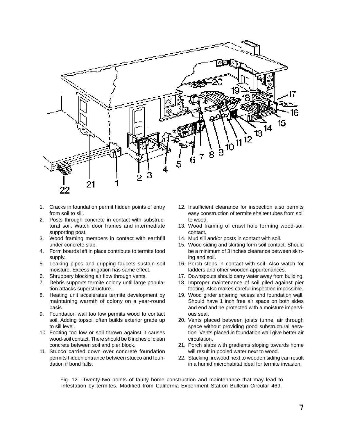

- 1. Cracks in foundation permit hidden points of entry from soil to sill.
- 2. Posts through concrete in contact with substructural soil. Watch door frames and intermediate supporting post.
- 3. Wood framing members in contact with earthfill under concrete slab.
- 4. Form boards left in place contribute to termite food supply.
- 5. Leaking pipes and dripping faucets sustain soil moisture. Excess irrigation has same effect.
- 6. Shrubbery blocking air flow through vents.
- 7. Debris supports termite colony until large population attacks superstructure.
- 8. Heating unit accelerates termite development by maintaining warmth of colony on a year-round basis.
- 9. Foundation wall too low permits wood to contact soil. Adding topsoil often builds exterior grade up to sill level.
- 10. Footing too low or soil thrown against it causes wood-soil contact. There should be 8 inches of clean concrete between soil and pier block.
- 11. Stucco carried down over concrete foundation permits hidden entrance between stucco and foundation if bond falls.
- 12. Insufficient clearance for inspection also permits easy construction of termite shelter tubes from soil to wood.
- 13. Wood framing of crawl hole forming wood-soil contact.
- 14. Mud sill and/or posts in contact with soil.
- 15. Wood siding and skirting form soil contact. Should be a minimum of 3 inches clearance between skirting and soil.
- 16. Porch steps in contact with soil. Also watch for ladders and other wooden appurtenances.
- 17. Downspouts should carry water away from building.
- 18. Improper maintenance of soil piled against pier footing. Also makes careful inspection impossible.
- 19. Wood girder entering recess and foundation wall. Should have 1 inch free air space on both sides and end and be protected with a moisture impervious seal.
- 20. Vents placed between joists tunnel air through space without providing good substructural aeration. Vents placed in foundation wall give better air circulation.
- 21. Porch slabs with gradients sloping towards home will result in pooled water next to wood.
- 22. Stacking firewood next to wooden siding can result in a humid microhabitat ideal for termite invasion.

Fig. 12—Twenty-two points of faulty home construction and maintenance that may lead to infestation by termites. Modified from California Experiment Station Bulletin Circular 469.